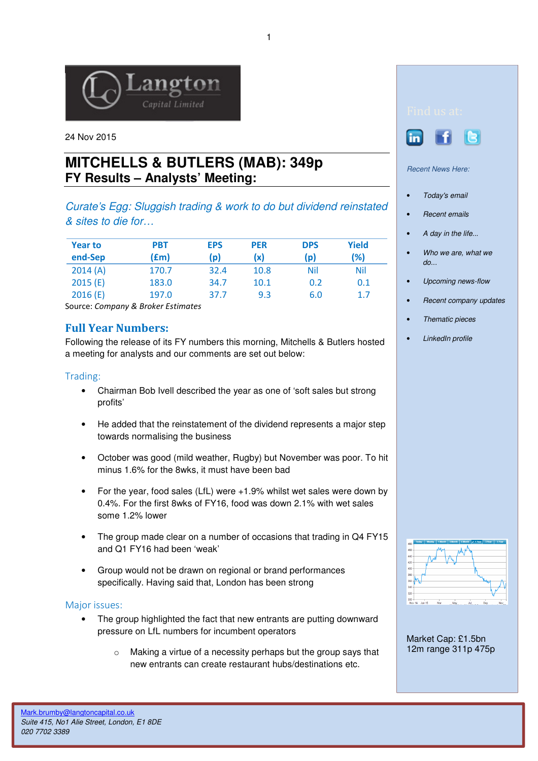

24 Nov 2015

# **MITCHELLS & BUTLERS (MAB): 349p FY Results – Analysts' Meeting:**

Curate's Egg: Sluggish trading & work to do but dividend reinstated & sites to die for…

| <b>Year to</b><br>end-Sep | <b>PBT</b><br>(£m) | <b>EPS</b><br>(p) | <b>PER</b><br>(x) | <b>DPS</b><br>(p) | Yield<br>(%) |
|---------------------------|--------------------|-------------------|-------------------|-------------------|--------------|
| 2014(A)                   | 170.7              | 32.4              | 10.8              | Nil               | <b>Nil</b>   |
| 2015(E)                   | 183.0              | 34.7              | 10.1              | 0.2               | 0.1          |
| 2016(E)                   | 197.0              | 37.7              | 9.3               | 6.0               | 1.7          |

Source: Company & Broker Estimates

## Full Year Numbers:

Following the release of its FY numbers this morning, Mitchells & Butlers hosted a meeting for analysts and our comments are set out below:

## Trading:

- Chairman Bob Ivell described the year as one of 'soft sales but strong profits'
- He added that the reinstatement of the dividend represents a major step towards normalising the business
- October was good (mild weather, Rugby) but November was poor. To hit minus 1.6% for the 8wks, it must have been bad
- For the year, food sales (LfL) were +1.9% whilst wet sales were down by 0.4%. For the first 8wks of FY16, food was down 2.1% with wet sales some 1.2% lower
- The group made clear on a number of occasions that trading in Q4 FY15 and Q1 FY16 had been 'weak'
- Group would not be drawn on regional or brand performances specifically. Having said that, London has been strong

### Major issues:

- The group highlighted the fact that new entrants are putting downward pressure on LfL numbers for incumbent operators
	- o Making a virtue of a necessity perhaps but the group says that new entrants can create restaurant hubs/destinations etc.





#### Recent News Here:

- Today's email
- Recent emails
- A day in the life...
- Who we are, what we  $d\rho$ ...
- Upcoming news-flow
- Recent company updates
- Thematic pieces
- LinkedIn profile



Market Cap: £1.5bn 12m range 311p 475p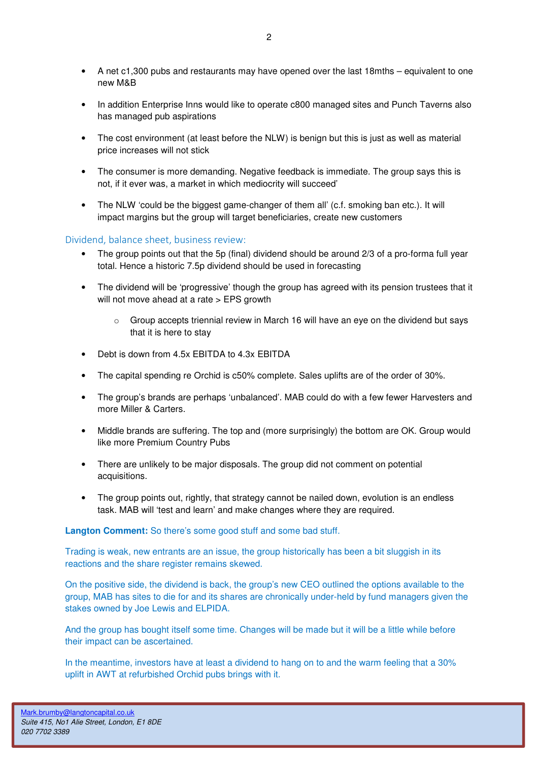- A net c1,300 pubs and restaurants may have opened over the last 18mths equivalent to one new M&B
- In addition Enterprise Inns would like to operate c800 managed sites and Punch Taverns also has managed pub aspirations
- The cost environment (at least before the NLW) is benign but this is just as well as material price increases will not stick
- The consumer is more demanding. Negative feedback is immediate. The group says this is not, if it ever was, a market in which mediocrity will succeed'
- The NLW 'could be the biggest game-changer of them all' (c.f. smoking ban etc.). It will impact margins but the group will target beneficiaries, create new customers

### Dividend, balance sheet, business review:

- The group points out that the 5p (final) dividend should be around 2/3 of a pro-forma full year total. Hence a historic 7.5p dividend should be used in forecasting
- The dividend will be 'progressive' though the group has agreed with its pension trustees that it will not move ahead at a rate > EPS growth
	- $\circ$  Group accepts triennial review in March 16 will have an eye on the dividend but says that it is here to stay
- Debt is down from 4.5x EBITDA to 4.3x EBITDA
- The capital spending re Orchid is c50% complete. Sales uplifts are of the order of 30%.
- The group's brands are perhaps 'unbalanced'. MAB could do with a few fewer Harvesters and more Miller & Carters.
- Middle brands are suffering. The top and (more surprisingly) the bottom are OK. Group would like more Premium Country Pubs
- There are unlikely to be major disposals. The group did not comment on potential acquisitions.
- The group points out, rightly, that strategy cannot be nailed down, evolution is an endless task. MAB will 'test and learn' and make changes where they are required.

#### **Langton Comment:** So there's some good stuff and some bad stuff.

Trading is weak, new entrants are an issue, the group historically has been a bit sluggish in its reactions and the share register remains skewed.

On the positive side, the dividend is back, the group's new CEO outlined the options available to the group, MAB has sites to die for and its shares are chronically under-held by fund managers given the stakes owned by Joe Lewis and ELPIDA.

And the group has bought itself some time. Changes will be made but it will be a little while before their impact can be ascertained.

In the meantime, investors have at least a dividend to hang on to and the warm feeling that a 30% uplift in AWT at refurbished Orchid pubs brings with it.